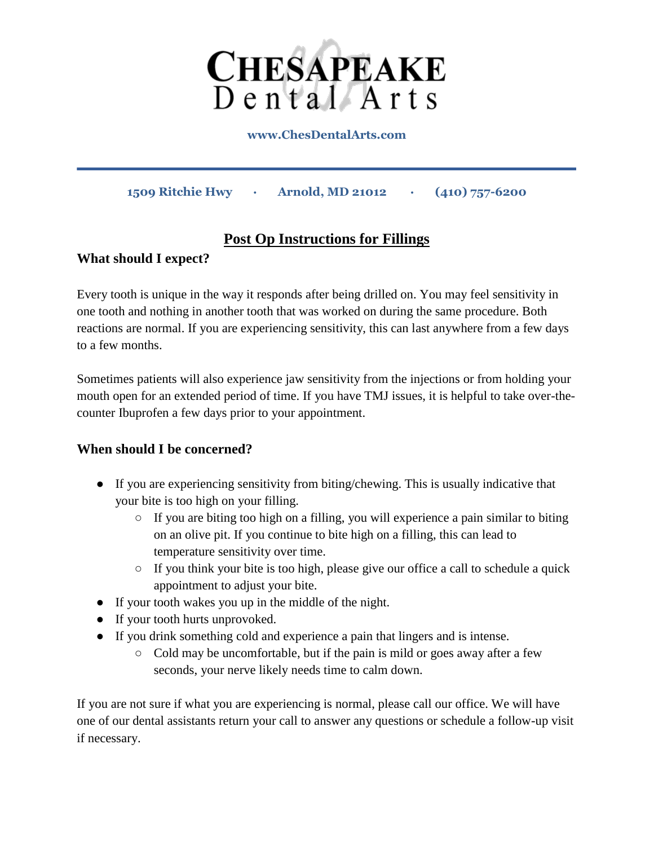

**www.ChesDentalArts.com**

**1509 Ritchie Hwy · Arnold, MD 21012 · (410) 757-6200** 

# **Post Op Instructions for Fillings**

### **What should I expect?**

Every tooth is unique in the way it responds after being drilled on. You may feel sensitivity in one tooth and nothing in another tooth that was worked on during the same procedure. Both reactions are normal. If you are experiencing sensitivity, this can last anywhere from a few days to a few months.

Sometimes patients will also experience jaw sensitivity from the injections or from holding your mouth open for an extended period of time. If you have TMJ issues, it is helpful to take over-thecounter Ibuprofen a few days prior to your appointment.

### **When should I be concerned?**

- If you are experiencing sensitivity from biting/chewing. This is usually indicative that your bite is too high on your filling.
	- If you are biting too high on a filling, you will experience a pain similar to biting on an olive pit. If you continue to bite high on a filling, this can lead to temperature sensitivity over time.
	- $\circ$  If you think your bite is too high, please give our office a call to schedule a quick appointment to adjust your bite.
- If your tooth wakes you up in the middle of the night.
- If your tooth hurts unprovoked.
- If you drink something cold and experience a pain that lingers and is intense.
	- $\circ$  Cold may be uncomfortable, but if the pain is mild or goes away after a few seconds, your nerve likely needs time to calm down.

If you are not sure if what you are experiencing is normal, please call our office. We will have one of our dental assistants return your call to answer any questions or schedule a follow-up visit if necessary.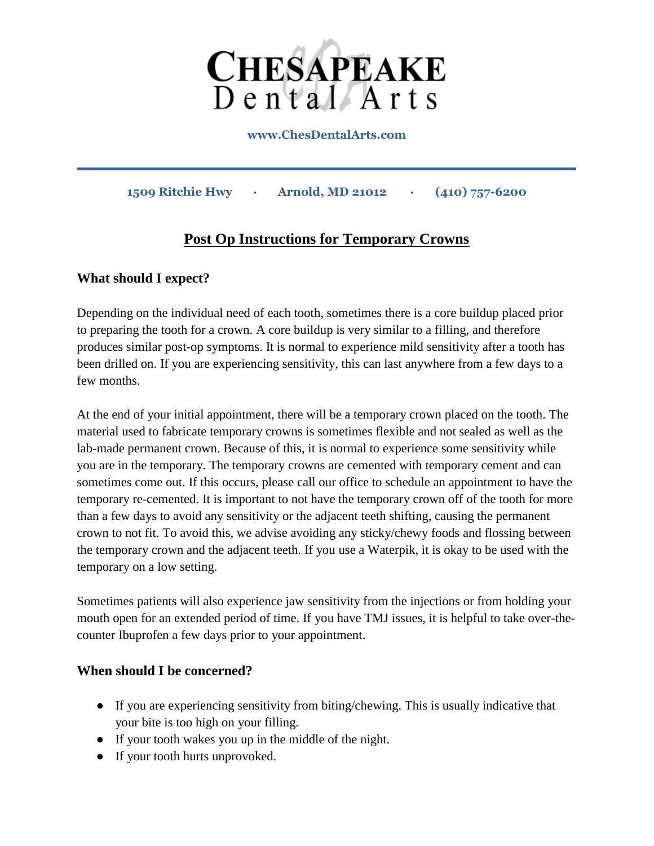

**www.ChesDentalArts.com**

**1509 Ritchie Hwy · Arnold, MD 21012 · (410) 757-6200** 

# **Post Op Instructions for Temporary Crowns**

### **What should I expect?**

Depending on the individual need of each tooth, sometimes there is a core buildup placed prior to preparing the tooth for a crown. A core buildup is very similar to a filling, and therefore produces similar post-op symptoms. It is normal to experience mild sensitivity after a tooth has been drilled on. If you are experiencing sensitivity, this can last anywhere from a few days to a few months.

At the end of your initial appointment, there will be a temporary crown placed on the tooth. The material used to fabricate temporary crowns is sometimes flexible and not sealed as well as the lab-made permanent crown. Because of this, it is normal to experience some sensitivity while you are in the temporary. The temporary crowns are cemented with temporary cement and can sometimes come out. If this occurs, please call our office to schedule an appointment to have the temporary re-cemented. It is important to not have the temporary crown off of the tooth for more than a few days to avoid any sensitivity or the adjacent teeth shifting, causing the permanent crown to not fit. To avoid this, we advise avoiding any sticky/chewy foods and flossing between the temporary crown and the adjacent teeth. If you use a Waterpik, it is okay to be used with the temporary on a low setting.

Sometimes patients will also experience jaw sensitivity from the injections or from holding your mouth open for an extended period of time. If you have TMJ issues, it is helpful to take over-thecounter Ibuprofen a few days prior to your appointment.

#### **When should I be concerned?**

- If you are experiencing sensitivity from biting/chewing. This is usually indicative that your bite is too high on your filling.
- If your tooth wakes you up in the middle of the night.
- If your tooth hurts unprovoked.